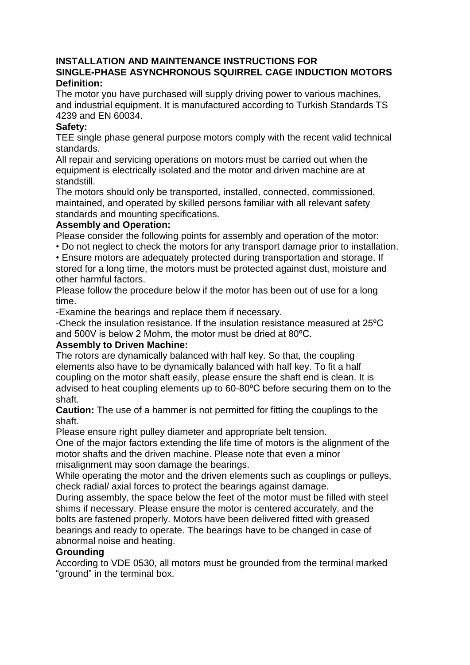# **INSTALLATION AND MAINTENANCE INSTRUCTIONS FOR SINGLE-PHASE ASYNCHRONOUS SQUIRREL CAGE INDUCTION MOTORS Definition:**

The motor you have purchased will supply driving power to various machines, and industrial equipment. It is manufactured according to Turkish Standards TS 4239 and EN 60034.

# **Safety:**

TEE single phase general purpose motors comply with the recent valid technical standards.

All repair and servicing operations on motors must be carried out when the equipment is electrically isolated and the motor and driven machine are at standstill.

The motors should only be transported, installed, connected, commissioned, maintained, and operated by skilled persons familiar with all relevant safety standards and mounting specifications.

# **Assembly and Operation:**

Please consider the following points for assembly and operation of the motor: • Do not neglect to check the motors for any transport damage prior to installation.

• Ensure motors are adequately protected during transportation and storage. If stored for a long time, the motors must be protected against dust, moisture and other harmful factors.

Please follow the procedure below if the motor has been out of use for a long time.

-Examine the bearings and replace them if necessary.

-Check the insulation resistance. If the insulation resistance measured at 25ºC and 500V is below 2 Mohm, the motor must be dried at 80ºC.

#### **Assembly to Driven Machine:**

The rotors are dynamically balanced with half key. So that, the coupling elements also have to be dynamically balanced with half key. To fit a half coupling on the motor shaft easily, please ensure the shaft end is clean. It is advised to heat coupling elements up to 60-80ºC before securing them on to the shaft.

**Caution:** The use of a hammer is not permitted for fitting the couplings to the shaft.

Please ensure right pulley diameter and appropriate belt tension.

One of the major factors extending the life time of motors is the alignment of the motor shafts and the driven machine. Please note that even a minor misalignment may soon damage the bearings.

While operating the motor and the driven elements such as couplings or pulleys, check radial/ axial forces to protect the bearings against damage.

During assembly, the space below the feet of the motor must be filled with steel shims if necessary. Please ensure the motor is centered accurately, and the bolts are fastened properly. Motors have been delivered fitted with greased bearings and ready to operate. The bearings have to be changed in case of abnormal noise and heating.

#### **Grounding**

According to VDE 0530, all motors must be grounded from the terminal marked "ground" in the terminal box.